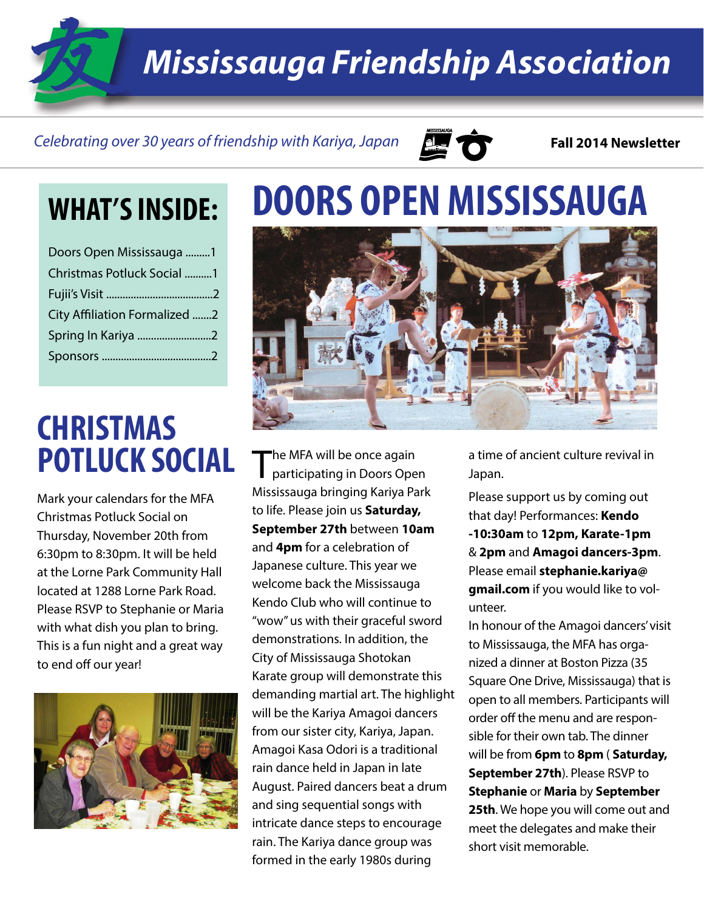*Mississauga Friendship Association*

#### *Celebrating over 30 years of friendship with Kariya, Japan* **Fall 2014 Newsletter**



| Doors Open Mississauga 1      |  |
|-------------------------------|--|
| Christmas Potluck Social 1    |  |
|                               |  |
| City Affiliation Formalized 2 |  |
| Spring In Kariya 2            |  |
|                               |  |

### **CHRISTMAS POTLUCK SOCIAL**

Mark your calendars for the MFA Christmas Potluck Social on Thursday, November 20th from 6:30pm to 8:30pm. It will be held at the Lorne Park Community Hall located at 1288 Lorne Park Road. Please RSVP to Stephanie or Maria with what dish you plan to bring. This is a fun night and a great way to end off our year!



## **WHAT'S INSIDE: DOORS OPEN MISSISSAUGA**



The MFA will be once again<br>participating in Doors Open Mississauga bringing Kariya Park to life. Please join us **Saturday, September 27th** between **10am**  and **4pm** for a celebration of Japanese culture. This year we welcome back the Mississauga Kendo Club who will continue to "wow" us with their graceful sword demonstrations. In addition, the City of Mississauga Shotokan Karate group will demonstrate this demanding martial art. The highlight will be the Kariya Amagoi dancers from our sister city, Kariya, Japan. Amagoi Kasa Odori is a traditional rain dance held in Japan in late August. Paired dancers beat a drum and sing sequential songs with intricate dance steps to encourage rain. The Kariya dance group was formed in the early 1980s during

a time of ancient culture revival in Japan.

Please support us by coming out that day! Performances: **Kendo -10:30am** to **12pm, Karate-1pm** & **2pm** and **Amagoi dancers-3pm**. Please email **stephanie.kariya@ gmail.com** if you would like to volunteer.

In honour of the Amagoi dancers' visit to Mississauga, the MFA has organized a dinner at Boston Pizza (35 Square One Drive, Mississauga) that is open to all members. Participants will order off the menu and are responsible for their own tab. The dinner will be from **6pm** to **8pm** ( **Saturday, September 27th**). Please RSVP to **Stephanie** or **Maria** by **September 25th**. We hope you will come out and meet the delegates and make their short visit memorable.